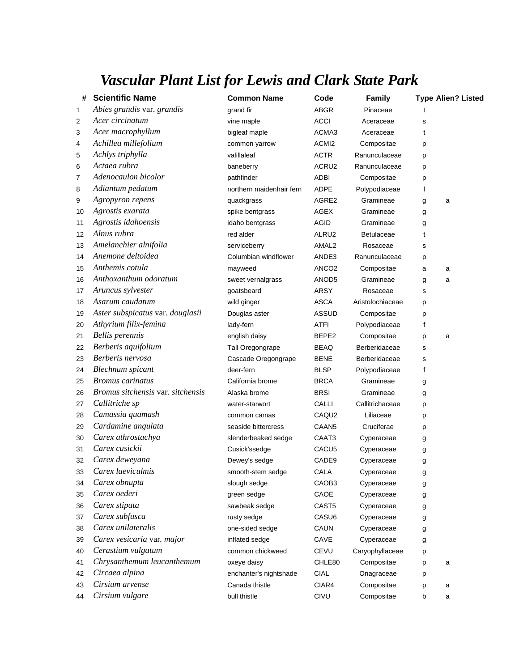## *Vascular Plant List for Lewis and Clark State Park*

| #              | <b>Scientific Name</b>            | <b>Common Name</b>       | Code              | <b>Family</b>     | <b>Type Alien? Listed</b> |  |
|----------------|-----------------------------------|--------------------------|-------------------|-------------------|---------------------------|--|
| $\mathbf 1$    | Abies grandis var. grandis        | grand fir                | <b>ABGR</b>       | Pinaceae          |                           |  |
| $\overline{2}$ | Acer circinatum                   | vine maple               | <b>ACCI</b>       | Aceraceae         | s                         |  |
| 3              | Acer macrophyllum                 | bigleaf maple            | ACMA3             | Aceraceae         | t                         |  |
| 4              | Achillea millefolium              | common yarrow            | ACMI <sub>2</sub> | Compositae        | р                         |  |
| 5              | Achlys triphylla                  | valillaleaf              | <b>ACTR</b>       | Ranunculaceae     | р                         |  |
| 6              | Actaea rubra                      | baneberry                | ACRU2             | Ranunculaceae     | p                         |  |
| 7              | Adenocaulon bicolor               | pathfinder               | <b>ADBI</b>       | Compositae        | p                         |  |
| 8              | Adiantum pedatum                  | northern maidenhair fern | <b>ADPE</b>       | Polypodiaceae     | f                         |  |
| 9              | Agropyron repens                  | quackgrass               | AGRE2             | Gramineae         | a<br>g                    |  |
| 10             | Agrostis exarata                  | spike bentgrass          | AGEX              | Gramineae         | g                         |  |
| 11             | Agrostis idahoensis               | idaho bentgrass          | AGID              | Gramineae         | g                         |  |
| 12             | Alnus rubra                       | red alder                | ALRU2             | <b>Betulaceae</b> | t                         |  |
| 13             | Amelanchier alnifolia             | serviceberry             | AMAL <sub>2</sub> | Rosaceae          | s                         |  |
| 14             | Anemone deltoidea                 | Columbian windflower     | ANDE3             | Ranunculaceae     | р                         |  |
| 15             | Anthemis cotula                   | mayweed                  | ANCO <sub>2</sub> | Compositae        | a<br>a                    |  |
| 16             | Anthoxanthum odoratum             | sweet vernalgrass        | ANOD5             | Gramineae         | g<br>a                    |  |
| 17             | Aruncus sylvester                 | goatsbeard               | <b>ARSY</b>       | Rosaceae          | s                         |  |
| 18             | Asarum caudatum                   | wild ginger              | <b>ASCA</b>       | Aristolochiaceae  | р                         |  |
| 19             | Aster subspicatus var. douglasii  | Douglas aster            | <b>ASSUD</b>      | Compositae        | р                         |  |
| 20             | Athyrium filix-femina             | lady-fern                | ATFI              | Polypodiaceae     | f                         |  |
| 21             | <b>Bellis</b> perennis            | english daisy            | BEPE2             | Compositae        | a<br>р                    |  |
| 22             | Berberis aquifolium               | Tall Oregongrape         | <b>BEAQ</b>       | Berberidaceae     | s                         |  |
| 23             | Berberis nervosa                  | Cascade Oregongrape      | <b>BENE</b>       | Berberidaceae     | s                         |  |
| 24             | <b>Blechnum</b> spicant           | deer-fern                | BLSP              | Polypodiaceae     | f                         |  |
| 25             | <b>Bromus</b> carinatus           | California brome         | <b>BRCA</b>       | Gramineae         | g                         |  |
| 26             | Bromus sitchensis var. sitchensis | Alaska brome             | <b>BRSI</b>       | Gramineae         | g                         |  |
| 27             | Callitriche sp                    | water-starwort           | CALLI             | Callitrichaceae   | p                         |  |
| 28             | Camassia quamash                  | common camas             | CAQU <sub>2</sub> | Liliaceae         | р                         |  |
| 29             | Cardamine angulata                | seaside bittercress      | CAAN <sub>5</sub> | Cruciferae        | р                         |  |
| 30             | Carex athrostachya                | slenderbeaked sedge      | CAAT3             | Cyperaceae        | g                         |  |
| 31             | Carex cusickii                    | Cusick'ssedge            | CACU <sub>5</sub> | Cyperaceae        | g                         |  |
| 32             | Carex deweyana                    | Dewey's sedge            | CADE9             | Cyperaceae        | g                         |  |
| 33             | Carex laeviculmis                 | smooth-stem sedge        | CALA              | Cyperaceae        | g                         |  |
| 34             | Carex obnupta                     | slough sedge             | CAOB3             | Cyperaceae        | g                         |  |
| 35             | Carex oederi                      | green sedge              | CAOE              | Cyperaceae        | g                         |  |
| 36             | Carex stipata                     | sawbeak sedge            | CAST5             | Cyperaceae        | g                         |  |
| 37             | Carex subfusca                    | rusty sedge              | CASU6             | Cyperaceae        | g                         |  |
| 38             | Carex unilateralis                | one-sided sedge          | CAUN              | Cyperaceae        | g                         |  |
| 39             | Carex vesicaria var. major        | inflated sedge           | CAVE              | Cyperaceae        | g                         |  |
| 40             | Cerastium vulgatum                | common chickweed         | CEVU              | Caryophyllaceae   | р                         |  |
| 41             | Chrysanthemum leucanthemum        | oxeye daisy              | CHLE80            | Compositae        | a<br>р                    |  |
| 42             | Circaea alpina                    | enchanter's nightshade   | <b>CIAL</b>       | Onagraceae        | р                         |  |
| 43             | Cirsium arvense                   | Canada thistle           | CIAR4             | Compositae        | р<br>a                    |  |
| 44             | Cirsium vulgare                   | bull thistle             | CIVU              | Compositae        | b<br>a                    |  |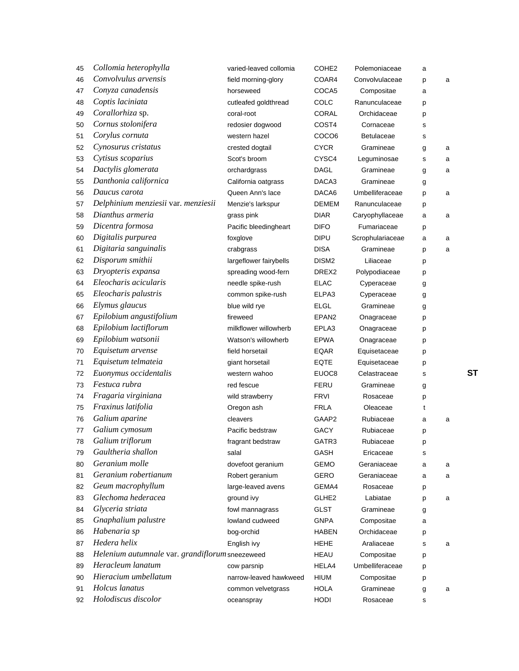| 45 | Collomia heterophylla                           | varied-leaved collomia | COHE2             | Polemoniaceae     | а |   |           |
|----|-------------------------------------------------|------------------------|-------------------|-------------------|---|---|-----------|
| 46 | Convolvulus arvensis                            | field morning-glory    | COAR4             | Convolvulaceae    | р | a |           |
| 47 | Conyza canadensis                               | horseweed              | COCA5             | Compositae        | a |   |           |
| 48 | Coptis laciniata                                | cutleafed goldthread   | COLC              | Ranunculaceae     | р |   |           |
| 49 | Corallorhiza sp.                                | coral-root             | CORAL             | Orchidaceae       | р |   |           |
| 50 | Cornus stolonifera                              | redosier dogwood       | COST4             | Cornaceae         | s |   |           |
| 51 | Corylus cornuta                                 | western hazel          | COCO <sub>6</sub> | <b>Betulaceae</b> | s |   |           |
| 52 | Cynosurus cristatus                             | crested dogtail        | <b>CYCR</b>       | Gramineae         | g | a |           |
| 53 | Cytisus scoparius                               | Scot's broom           | CYSC4             | Leguminosae       | s | a |           |
| 54 | Dactylis glomerata                              | orchardgrass           | <b>DAGL</b>       | Gramineae         | g | a |           |
| 55 | Danthonia californica                           | California oatgrass    | DACA3             | Gramineae         | g |   |           |
| 56 | Daucus carota                                   | Queen Ann's lace       | DACA6             | Umbelliferaceae   | р | a |           |
| 57 | Delphinium menziesii var. menziesii             | Menzie's larkspur      | <b>DEMEM</b>      | Ranunculaceae     | р |   |           |
| 58 | Dianthus armeria                                | grass pink             | <b>DIAR</b>       | Caryophyllaceae   | a | a |           |
| 59 | Dicentra formosa                                | Pacific bleedingheart  | <b>DIFO</b>       | Fumariaceae       | р |   |           |
| 60 | Digitalis purpurea                              | foxglove               | <b>DIPU</b>       | Scrophulariaceae  | а | a |           |
| 61 | Digitaria sanguinalis                           | crabgrass              | <b>DISA</b>       | Gramineae         | р | a |           |
| 62 | Disporum smithii                                | largeflower fairybells | DISM <sub>2</sub> | Liliaceae         | р |   |           |
| 63 | Dryopteris expansa                              | spreading wood-fern    | DREX2             | Polypodiaceae     | р |   |           |
| 64 | Eleocharis acicularis                           | needle spike-rush      | <b>ELAC</b>       | Cyperaceae        | g |   |           |
| 65 | Eleocharis palustris                            | common spike-rush      | ELPA3             | Cyperaceae        | g |   |           |
| 66 | Elymus glaucus                                  | blue wild rye          | <b>ELGL</b>       | Gramineae         | g |   |           |
| 67 | Epilobium angustifolium                         | fireweed               | EPAN <sub>2</sub> | Onagraceae        | р |   |           |
| 68 | Epilobium lactiflorum                           | milkflower willowherb  | EPLA3             | Onagraceae        | р |   |           |
| 69 | Epilobium watsonii                              | Watson's willowherb    | <b>EPWA</b>       | Onagraceae        | р |   |           |
| 70 | Equisetum arvense                               | field horsetail        | EQAR              | Equisetaceae      | р |   |           |
| 71 | Equisetum telmateia                             | giant horsetail        | EQTE              | Equisetaceae      | р |   |           |
| 72 | Euonymus occidentalis                           | western wahoo          | EUOC8             | Celastraceae      | s |   | <b>ST</b> |
| 73 | Festuca rubra                                   | red fescue             | FERU              | Gramineae         | g |   |           |
| 74 | Fragaria virginiana                             | wild strawberry        | <b>FRVI</b>       | Rosaceae          | р |   |           |
| 75 | Fraxinus latifolia                              | Oregon ash             | <b>FRLA</b>       | Oleaceae          | t |   |           |
| 76 | Galium aparine                                  | cleavers               | GAAP2             | Rubiaceae         | a | a |           |
| 77 | Galium cymosum                                  | Pacific bedstraw       | GACY              | Rubiaceae         | р |   |           |
| 78 | Galium triflorum                                | fragrant bedstraw      | GATR3             | Rubiaceae         | р |   |           |
| 79 | Gaultheria shallon                              | salal                  | GASH              | Ericaceae         | s |   |           |
| 80 | Geranium molle                                  | dovefoot geranium      | <b>GEMO</b>       | Geraniaceae       | а | a |           |
| 81 | Geranium robertianum                            | Robert geranium        | GERO              | Geraniaceae       | а | a |           |
| 82 | Geum macrophyllum                               | large-leaved avens     | GEMA4             | Rosaceae          | р |   |           |
| 83 | Glechoma hederacea                              | ground ivy             | GLHE <sub>2</sub> | Labiatae          | р | a |           |
| 84 | Glyceria striata                                | fowl mannagrass        | <b>GLST</b>       | Gramineae         | g |   |           |
| 85 | Gnaphalium palustre                             | lowland cudweed        | <b>GNPA</b>       | Compositae        | a |   |           |
| 86 | Habenaria sp                                    | bog-orchid             | <b>HABEN</b>      | Orchidaceae       | р |   |           |
| 87 | Hedera helix                                    | English ivy            | <b>HEHE</b>       | Araliaceae        | s | a |           |
| 88 | Helenium autumnale var. grandiflorum sneezeweed |                        | <b>HEAU</b>       | Compositae        | р |   |           |
| 89 | Heracleum lanatum                               | cow parsnip            | HELA4             | Umbelliferaceae   | р |   |           |
| 90 | Hieracium umbellatum                            | narrow-leaved hawkweed | <b>HIUM</b>       | Compositae        | р |   |           |
| 91 | Holcus lanatus                                  | common velvetgrass     | <b>HOLA</b>       | Gramineae         | g | a |           |
| 92 | Holodiscus discolor                             | oceanspray             | HODI              | Rosaceae          | s |   |           |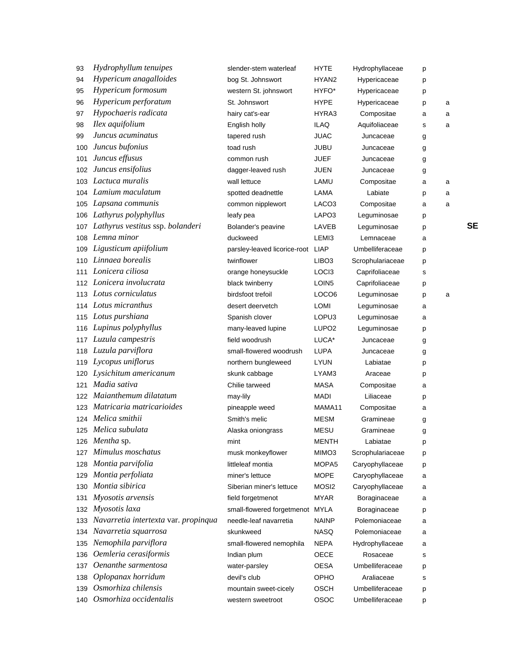| 93  | Hydrophyllum tenuipes                | slender-stem waterleaf       | HYTE              | Hydrophyllaceae  | р |   |    |
|-----|--------------------------------------|------------------------------|-------------------|------------------|---|---|----|
| 94  | Hypericum anagalloides               | bog St. Johnswort            | HYAN <sub>2</sub> | Hypericaceae     | р |   |    |
| 95  | Hypericum formosum                   | western St. johnswort        | HYFO*             | Hypericaceae     | р |   |    |
| 96  | Hypericum perforatum                 | St. Johnswort                | <b>HYPE</b>       | Hypericaceae     | p | a |    |
| 97  | Hypochaeris radicata                 | hairy cat's-ear              | HYRA3             | Compositae       | a | a |    |
| 98  | Ilex aquifolium                      | English holly                | <b>ILAQ</b>       | Aquifoliaceae    | s | a |    |
| 99  | Juncus acuminatus                    | tapered rush                 | <b>JUAC</b>       | Juncaceae        | g |   |    |
| 100 | Juncus bufonius                      | toad rush                    | <b>JUBU</b>       | Juncaceae        | g |   |    |
| 101 | Juncus effusus                       | common rush                  | <b>JUEF</b>       | Juncaceae        | g |   |    |
| 102 | Juncus ensifolius                    | dagger-leaved rush           | JUEN              | Juncaceae        | g |   |    |
| 103 | Lactuca muralis                      | wall lettuce                 | LAMU              | Compositae       | a | a |    |
| 104 | Lamium maculatum                     | spotted deadnettle           | LAMA              | Labiate          | p | a |    |
| 105 | Lapsana communis                     | common nipplewort            | LACO <sub>3</sub> | Compositae       | a | a |    |
| 106 | Lathyrus polyphyllus                 | leafy pea                    | LAPO3             | Leguminosae      | р |   |    |
| 107 | Lathyrus vestitus ssp. bolanderi     | Bolander's peavine           | LAVEB             | Leguminosae      | р |   | SE |
| 108 | Lemna minor                          | duckweed                     | LEMI3             | Lemnaceae        | а |   |    |
| 109 | Ligusticum apiifolium                | parsley-leaved licorice-root | <b>LIAP</b>       | Umbelliferaceae  | р |   |    |
| 110 | Linnaea borealis                     | twinflower                   | LIBO <sub>3</sub> | Scrophulariaceae | р |   |    |
| 111 | Lonicera ciliosa                     | orange honeysuckle           | LOCI3             | Caprifoliaceae   | s |   |    |
| 112 | Lonicera involucrata                 | black twinberry              | LOIN <sub>5</sub> | Caprifoliaceae   | р |   |    |
| 113 | Lotus corniculatus                   | birdsfoot trefoil            | LOCO6             | Leguminosae      | p | a |    |
|     | 114 Lotus micranthus                 | desert deervetch             | LOMI              | Leguminosae      | a |   |    |
| 115 | Lotus purshiana                      | Spanish clover               | LOPU3             | Leguminosae      | a |   |    |
| 116 | Lupinus polyphyllus                  | many-leaved lupine           | LUPO <sub>2</sub> | Leguminosae      | р |   |    |
| 117 | Luzula campestris                    | field woodrush               | LUCA*             | Juncaceae        | g |   |    |
| 118 | Luzula parviflora                    | small-flowered woodrush      | <b>LUPA</b>       | Juncaceae        | g |   |    |
| 119 | Lycopus uniflorus                    | northern bungleweed          | LYUN              | Labiatae         | р |   |    |
| 120 | Lysichitum americanum                | skunk cabbage                | LYAM3             | Araceae          | р |   |    |
| 121 | Madia sativa                         | Chilie tarweed               | <b>MASA</b>       | Compositae       | a |   |    |
| 122 | Maianthemum dilatatum                | may-lily                     | <b>MADI</b>       | Liliaceae        | р |   |    |
| 123 | Matricaria matricarioides            | pineapple weed               | MAMA11            | Compositae       | a |   |    |
| 124 | Melica smithii                       | Smith's melic                | <b>MESM</b>       | Gramineae        | g |   |    |
| 125 | Melica subulata                      | Alaska oniongrass            | <b>MESU</b>       | Gramineae        | g |   |    |
|     | 126 Mentha sp.                       | mint                         | <b>MENTH</b>      | Labiatae         | р |   |    |
| 127 | Mimulus moschatus                    | musk monkeyflower            | MIMO <sub>3</sub> | Scrophulariaceae | р |   |    |
| 128 | Montia parvifolia                    | littleleaf montia            | MOPA <sub>5</sub> | Caryophyllaceae  | р |   |    |
| 129 | Montia perfoliata                    | miner's lettuce              | <b>MOPE</b>       | Caryophyllaceae  | a |   |    |
| 130 | Montia sibirica                      | Siberian miner's lettuce     | MOSI <sub>2</sub> | Caryophyllaceae  | a |   |    |
| 131 | Myosotis arvensis                    | field forgetmenot            | <b>MYAR</b>       | Boraginaceae     | a |   |    |
| 132 | Myosotis laxa                        | small-flowered forgetmenot   | <b>MYLA</b>       | Boraginaceae     | р |   |    |
| 133 | Navarretia intertexta var. propinqua | needle-leaf navarretia       | <b>NAINP</b>      | Polemoniaceae    | a |   |    |
| 134 | Navarretia squarrosa                 | skunkweed                    | <b>NASQ</b>       | Polemoniaceae    | a |   |    |
| 135 | Nemophila parviflora                 | small-flowered nemophila     | <b>NEPA</b>       | Hydrophyllaceae  | a |   |    |
| 136 | Oemleria cerasiformis                | Indian plum                  | <b>OECE</b>       | Rosaceae         | s |   |    |
| 137 | Oenanthe sarmentosa                  | water-parsley                | <b>OESA</b>       | Umbelliferaceae  | р |   |    |
| 138 | Oplopanax horridum                   | devil's club                 | OPHO              | Araliaceae       | s |   |    |
| 139 | Osmorhiza chilensis                  | mountain sweet-cicely        | <b>OSCH</b>       | Umbelliferaceae  | р |   |    |
| 140 | Osmorhiza occidentalis               | western sweetroot            | OSOC              | Umbelliferaceae  | р |   |    |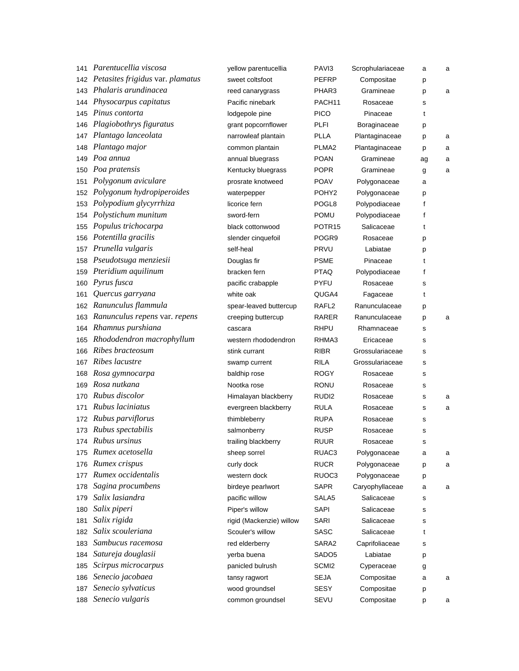| 141 | Parentucellia viscosa                | yellow parentucellia     | PAVI3              | Scrophulariaceae | a  | a |
|-----|--------------------------------------|--------------------------|--------------------|------------------|----|---|
|     | 142 Petasites frigidus var. plamatus | sweet coltsfoot          | PEFRP              | Compositae       | p  |   |
| 143 | Phalaris arundinacea                 | reed canarygrass         | PHAR3              | Gramineae        | p  | а |
| 144 | Physocarpus capitatus                | Pacific ninebark         | PACH <sub>11</sub> | Rosaceae         | s  |   |
| 145 | Pinus contorta                       | lodgepole pine           | <b>PICO</b>        | Pinaceae         | t  |   |
| 146 | Plagiobothrys figuratus              | grant popcornflower      | <b>PLFI</b>        | Boraginaceae     | p  |   |
|     | 147 Plantago lanceolata              | narrowleaf plantain      | <b>PLLA</b>        | Plantaginaceae   | p  | a |
| 148 | Plantago major                       | common plantain          | PLMA <sub>2</sub>  | Plantaginaceae   | p  | a |
| 149 | Poa annua                            | annual bluegrass         | <b>POAN</b>        | Gramineae        | ag | a |
| 150 | Poa pratensis                        | Kentucky bluegrass       | <b>POPR</b>        | Gramineae        | g  | а |
| 151 | Polygonum aviculare                  | prosrate knotweed        | <b>POAV</b>        | Polygonaceae     | a  |   |
| 152 | Polygonum hydropiperoides            | waterpepper              | POHY <sub>2</sub>  | Polygonaceae     | р  |   |
| 153 | Polypodium glycyrrhiza               | licorice fern            | POGL <sub>8</sub>  | Polypodiaceae    | f  |   |
| 154 | Polystichum munitum                  | sword-fern               | <b>POMU</b>        | Polypodiaceae    | f  |   |
| 155 | Populus trichocarpa                  | black cottonwood         | POTR <sub>15</sub> | Salicaceae       | t  |   |
| 156 | Potentilla gracilis                  | slender cinquefoil       | POGR9              | Rosaceae         | p  |   |
| 157 | Prunella vulgaris                    | self-heal                | <b>PRVU</b>        | Labiatae         | p  |   |
| 158 | Pseudotsuga menziesii                | Douglas fir              | <b>PSME</b>        | Pinaceae         | t  |   |
| 159 | Pteridium aquilinum                  | bracken fern             | <b>PTAQ</b>        | Polypodiaceae    | f  |   |
| 160 | Pyrus fusca                          | pacific crabapple        | <b>PYFU</b>        | Rosaceae         | s  |   |
| 161 | Quercus garryana                     | white oak                | QUGA4              | Fagaceae         | t  |   |
| 162 | Ranunculus flammula                  | spear-leaved buttercup   | RAFL <sub>2</sub>  | Ranunculaceae    | p  |   |
| 163 | Ranunculus repens var. repens        | creeping buttercup       | RARER              | Ranunculaceae    | p  | a |
| 164 | Rhamnus purshiana                    | cascara                  | <b>RHPU</b>        | Rhamnaceae       | s  |   |
| 165 | Rhododendron macrophyllum            | western rhododendron     | RHMA3              | Ericaceae        | s  |   |
| 166 | Ribes bracteosum                     | stink currant            | <b>RIBR</b>        | Grossulariaceae  | s  |   |
|     | 167 Ribes lacustre                   | swamp current            | <b>RILA</b>        | Grossulariaceae  | s  |   |
| 168 | Rosa gymnocarpa                      | baldhip rose             | <b>ROGY</b>        | Rosaceae         | s  |   |
| 169 | Rosa nutkana                         | Nootka rose              | <b>RONU</b>        | Rosaceae         | s  |   |
| 170 | Rubus discolor                       | Himalayan blackberry     | RUDI <sub>2</sub>  | Rosaceae         | s  | а |
| 171 | Rubus laciniatus                     | evergreen blackberry     | <b>RULA</b>        | Rosaceae         | s  | a |
|     | 172 Rubus parviflorus                | thimbleberry             | <b>RUPA</b>        | Rosaceae         | s  |   |
| 173 | Rubus spectabilis                    | salmonberry              | <b>RUSP</b>        | Rosaceae         | s  |   |
|     | 174 Rubus ursinus                    | trailing blackberry      | <b>RUUR</b>        | Rosaceae         | s  |   |
|     | 175 Rumex acetosella                 | sheep sorrel             | RUAC3              | Polygonaceae     | a  | а |
| 176 | Rumex crispus                        | curly dock               | <b>RUCR</b>        | Polygonaceae     | p  | а |
| 177 | Rumex occidentalis                   | western dock             | RUOC <sub>3</sub>  | Polygonaceae     | p  |   |
| 178 | Sagina procumbens                    | birdeye pearlwort        | <b>SAPR</b>        | Caryophyllaceae  | a  | a |
| 179 | Salix lasiandra                      | pacific willow           | SALA5              | Salicaceae       | s  |   |
| 180 | Salix piperi                         | Piper's willow           | <b>SAPI</b>        | Salicaceae       | s  |   |
| 181 | Salix rigida                         | rigid (Mackenzie) willow | <b>SARI</b>        | Salicaceae       | s  |   |
| 182 | Salix scouleriana                    | Scouler's willow         | SASC               | Salicaceae       | t  |   |
| 183 | Sambucus racemosa                    | red elderberry           | SARA2              | Caprifoliaceae   | s  |   |
| 184 | Satureja douglasii                   | yerba buena              | SADO <sub>5</sub>  | Labiatae         | р  |   |
| 185 | Scirpus microcarpus                  | panicled bulrush         | SCMI <sub>2</sub>  | Cyperaceae       | g  |   |
| 186 | Senecio jacobaea                     | tansy ragwort            | <b>SEJA</b>        | Compositae       | a  | а |
| 187 | Senecio sylvaticus                   | wood groundsel           | <b>SESY</b>        | Compositae       | р  |   |
| 188 | Senecio vulgaris                     | common groundsel         | <b>SEVU</b>        | Compositae       | p  | а |